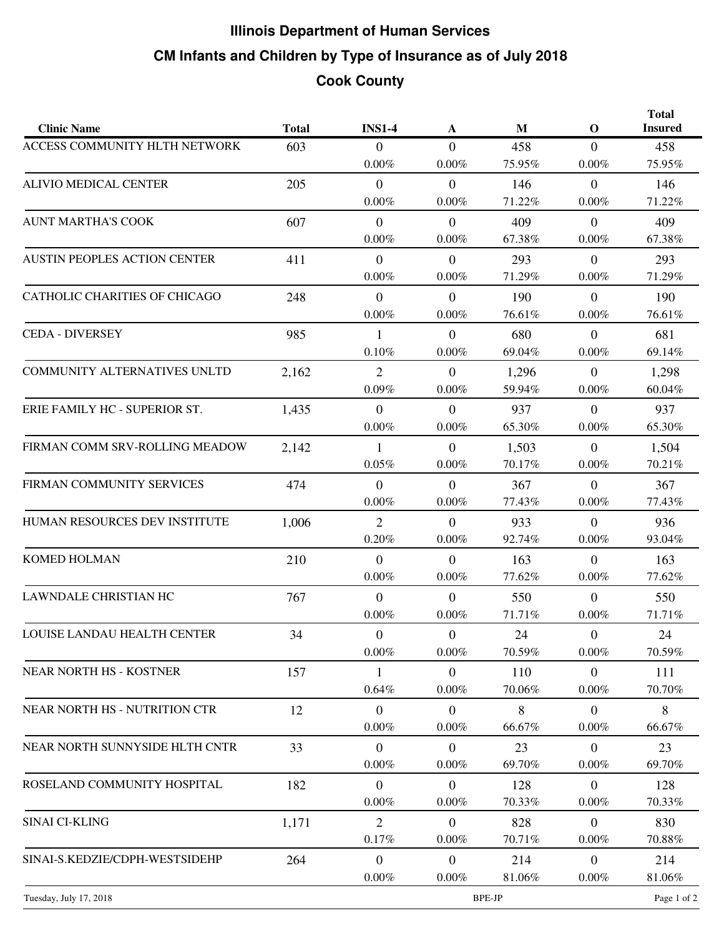## **CM Infants and Children by Type of Insurance as of July 2018 Illinois Department of Human Services Cook County**

| <b>Clinic Name</b>                  | <b>Total</b> | <b>INS1-4</b>    | A              | $\mathbf{M}$ | $\mathbf 0$    | <b>Total</b><br><b>Insured</b> |
|-------------------------------------|--------------|------------------|----------------|--------------|----------------|--------------------------------|
| ACCESS COMMUNITY HLTH NETWORK       | 603          | $\overline{0}$   | $\overline{0}$ | 458          | $\overline{0}$ | 458                            |
|                                     |              | $0.00\%$         | $0.00\%$       | 75.95%       | $0.00\%$       | 75.95%                         |
| ALIVIO MEDICAL CENTER               | 205          | $\mathbf{0}$     | $\mathbf{0}$   | 146          | $\overline{0}$ | 146                            |
|                                     |              | $0.00\%$         | $0.00\%$       | 71.22%       | $0.00\%$       | 71.22%                         |
| AUNT MARTHA'S COOK                  | 607          | $\overline{0}$   | $\overline{0}$ | 409          | $\overline{0}$ | 409                            |
|                                     |              | $0.00\%$         | $0.00\%$       | 67.38%       | $0.00\%$       | 67.38%                         |
| <b>AUSTIN PEOPLES ACTION CENTER</b> | 411          | $\overline{0}$   | $\overline{0}$ | 293          | $\overline{0}$ | 293                            |
|                                     |              | 0.00%            | $0.00\%$       | 71.29%       | $0.00\%$       | 71.29%                         |
| CATHOLIC CHARITIES OF CHICAGO       | 248          | $\mathbf{0}$     | $\overline{0}$ | 190          | $\overline{0}$ | 190                            |
|                                     |              | 0.00%            | $0.00\%$       | 76.61%       | $0.00\%$       | 76.61%                         |
| <b>CEDA - DIVERSEY</b>              | 985          | $\mathbf{1}$     | $\overline{0}$ | 680          | $\overline{0}$ | 681                            |
|                                     |              | 0.10%            | $0.00\%$       | 69.04%       | $0.00\%$       | 69.14%                         |
| <b>COMMUNITY ALTERNATIVES UNLTD</b> | 2,162        | $\overline{2}$   | $\mathbf{0}$   | 1,296        | $\overline{0}$ | 1,298                          |
|                                     |              | 0.09%            | $0.00\%$       | 59.94%       | $0.00\%$       | 60.04%                         |
| ERIE FAMILY HC - SUPERIOR ST.       | 1,435        | $\boldsymbol{0}$ | $\overline{0}$ | 937          | $\overline{0}$ | 937                            |
|                                     |              | $0.00\%$         | $0.00\%$       | 65.30%       | $0.00\%$       | 65.30%                         |
| FIRMAN COMM SRV-ROLLING MEADOW      | 2,142        | $\mathbf{1}$     | $\mathbf{0}$   | 1,503        | $\overline{0}$ | 1,504                          |
|                                     |              | $0.05\%$         | $0.00\%$       | 70.17%       | $0.00\%$       | 70.21%                         |
| FIRMAN COMMUNITY SERVICES           | 474          | $\overline{0}$   | $\overline{0}$ | 367          | $\overline{0}$ | 367                            |
|                                     |              | $0.00\%$         | $0.00\%$       | 77.43%       | $0.00\%$       | 77.43%                         |
| HUMAN RESOURCES DEV INSTITUTE       | 1,006        | $\overline{2}$   | $\mathbf{0}$   | 933          | $\overline{0}$ | 936                            |
|                                     |              | 0.20%            | $0.00\%$       | 92.74%       | $0.00\%$       | 93.04%                         |
| <b>KOMED HOLMAN</b>                 | 210          | $\mathbf{0}$     | $\mathbf{0}$   | 163          | $\overline{0}$ | 163                            |
|                                     |              | $0.00\%$         | $0.00\%$       | 77.62%       | $0.00\%$       | 77.62%                         |
| LAWNDALE CHRISTIAN HC               | 767          | $\mathbf{0}$     | $\overline{0}$ | 550          | $\overline{0}$ | 550                            |
|                                     |              | $0.00\%$         | $0.00\%$       | 71.71%       | $0.00\%$       | 71.71%                         |
| LOUISE LANDAU HEALTH CENTER         | 34           | $\Omega$         | $\overline{0}$ | 24           | $\overline{0}$ | 24                             |
|                                     |              | $0.00\%$         | 0.00%          | 70.59%       | $0.00\%$       | 70.59%                         |
| NEAR NORTH HS - KOSTNER             | 157          | 1                | $\overline{0}$ | 110          | $\overline{0}$ | 111                            |
|                                     |              | 0.64%            | $0.00\%$       | 70.06%       | $0.00\%$       | 70.70%                         |
| NEAR NORTH HS - NUTRITION CTR       | 12           | $\mathbf{0}$     | $\overline{0}$ | 8            | $\overline{0}$ | 8                              |
|                                     |              | $0.00\%$         | $0.00\%$       | 66.67%       | $0.00\%$       | 66.67%                         |
| NEAR NORTH SUNNYSIDE HLTH CNTR      | 33           | $\overline{0}$   | $\theta$       | 23           | $\overline{0}$ | 23                             |
|                                     |              | 0.00%            | $0.00\%$       | 69.70%       | $0.00\%$       | 69.70%                         |
| ROSELAND COMMUNITY HOSPITAL         | 182          | $\boldsymbol{0}$ | $\overline{0}$ | 128          | $\overline{0}$ | 128                            |
|                                     |              | $0.00\%$         | $0.00\%$       | 70.33%       | $0.00\%$       | 70.33%                         |
| <b>SINAI CI-KLING</b>               | 1,171        | $\overline{2}$   | $\mathbf{0}$   | 828          | $\overline{0}$ | 830                            |
|                                     |              | 0.17%            | $0.00\%$       | 70.71%       | $0.00\%$       | 70.88%                         |
| SINAI-S.KEDZIE/CDPH-WESTSIDEHP      | 264          | $\mathbf{0}$     | $\overline{0}$ | 214          | $\overline{0}$ | 214                            |
|                                     |              | $0.00\%$         | $0.00\%$       | 81.06%       | $0.00\%$       | 81.06%                         |
| Tuesday, July 17, 2018              |              |                  | Page 1 of 2    |              |                |                                |